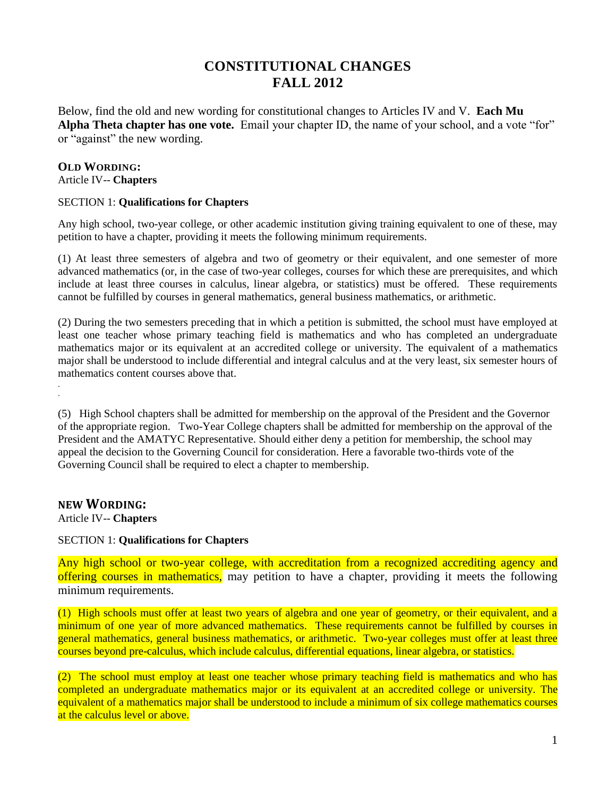## **CONSTITUTIONAL CHANGES FALL 2012**

Below, find the old and new wording for constitutional changes to Articles IV and V. **Each Mu Alpha Theta chapter has one vote.** Email your chapter ID, the name of your school, and a vote "for" or "against" the new wording.

#### **OLD WORDING:** Article IV-- **Chapters**

## SECTION 1: **Qualifications for Chapters**

Any high school, two-year college, or other academic institution giving training equivalent to one of these, may petition to have a chapter, providing it meets the following minimum requirements.

(1) At least three semesters of algebra and two of geometry or their equivalent, and one semester of more advanced mathematics (or, in the case of two-year colleges, courses for which these are prerequisites, and which include at least three courses in calculus, linear algebra, or statistics) must be offered. These requirements cannot be fulfilled by courses in general mathematics, general business mathematics, or arithmetic.

(2) During the two semesters preceding that in which a petition is submitted, the school must have employed at least one teacher whose primary teaching field is mathematics and who has completed an undergraduate mathematics major or its equivalent at an accredited college or university. The equivalent of a mathematics major shall be understood to include differential and integral calculus and at the very least, six semester hours of mathematics content courses above that.

(5) High School chapters shall be admitted for membership on the approval of the President and the Governor of the appropriate region. Two-Year College chapters shall be admitted for membership on the approval of the President and the AMATYC Representative. Should either deny a petition for membership, the school may appeal the decision to the Governing Council for consideration. Here a favorable two-thirds vote of the Governing Council shall be required to elect a chapter to membership.

## **NEW WORDING:**

. .

Article IV-- **Chapters**

## SECTION 1: **Qualifications for Chapters**

Any high school or two-year college, with accreditation from a recognized accrediting agency and offering courses in mathematics, may petition to have a chapter, providing it meets the following minimum requirements.

(1) High schools must offer at least two years of algebra and one year of geometry, or their equivalent, and a minimum of one year of more advanced mathematics. These requirements cannot be fulfilled by courses in general mathematics, general business mathematics, or arithmetic. Two-year colleges must offer at least three courses beyond pre-calculus, which include calculus, differential equations, linear algebra, or statistics.

(2) The school must employ at least one teacher whose primary teaching field is mathematics and who has completed an undergraduate mathematics major or its equivalent at an accredited college or university. The equivalent of a mathematics major shall be understood to include a minimum of six college mathematics courses at the calculus level or above.